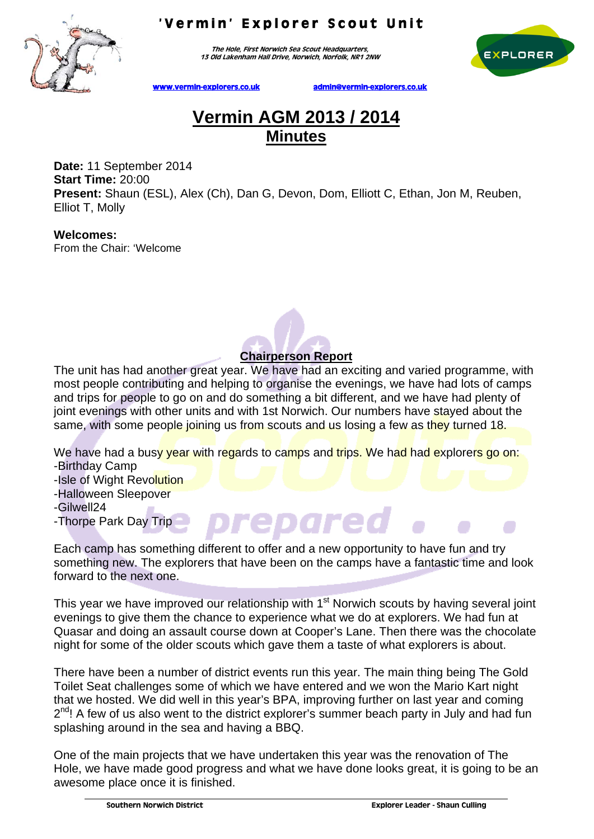

The Hole, First Norwich Sea Scout Headquarters, 13 Old Lakenham Hall Drive, Norwich, Norfolk, NR1 2NW



www.vermin-explorers.co.uk admin@vermin-explorers.co.uk

## **Vermin AGM 2013 / 2014 Minutes**

**Date:** 11 September 2014 **Start Time:** 20:00 **Present:** Shaun (ESL), Alex (Ch), Dan G, Devon, Dom, Elliott C, Ethan, Jon M, Reuben, Elliot T, Molly

**Welcomes:**  From the Chair: 'Welcome

## **Chairperson Report**

The unit has had another great year. We have had an exciting and varied programme, with most people contributing and helping to organise the evenings, we have had lots of camps and trips for people to go on and do something a bit different, and we have had plenty of joint evenings with other units and with 1st Norwich. Our numbers have stayed about the same, with some people joining us from scouts and us losing a few as they turned 18.

We have had a busy year with regards to camps and trips. We had had explorers go on: -Birthday Camp

- -Isle of Wight Revolution
- -Halloween Sleepover

-Gilwell24

-Thorpe Park Day Trip

Each camp has something different to offer and a new opportunity to have fun and try something new. The explorers that have been on the camps have a fantastic time and look forward to the next one.

epare

This year we have improved our relationship with 1<sup>st</sup> Norwich scouts by having several joint evenings to give them the chance to experience what we do at explorers. We had fun at Quasar and doing an assault course down at Cooper's Lane. Then there was the chocolate night for some of the older scouts which gave them a taste of what explorers is about.

There have been a number of district events run this year. The main thing being The Gold Toilet Seat challenges some of which we have entered and we won the Mario Kart night that we hosted. We did well in this year's BPA, improving further on last year and coming  $2^{nd}$ ! A few of us also went to the district explorer's summer beach party in July and had fun splashing around in the sea and having a BBQ.

One of the main projects that we have undertaken this year was the renovation of The Hole, we have made good progress and what we have done looks great, it is going to be an awesome place once it is finished.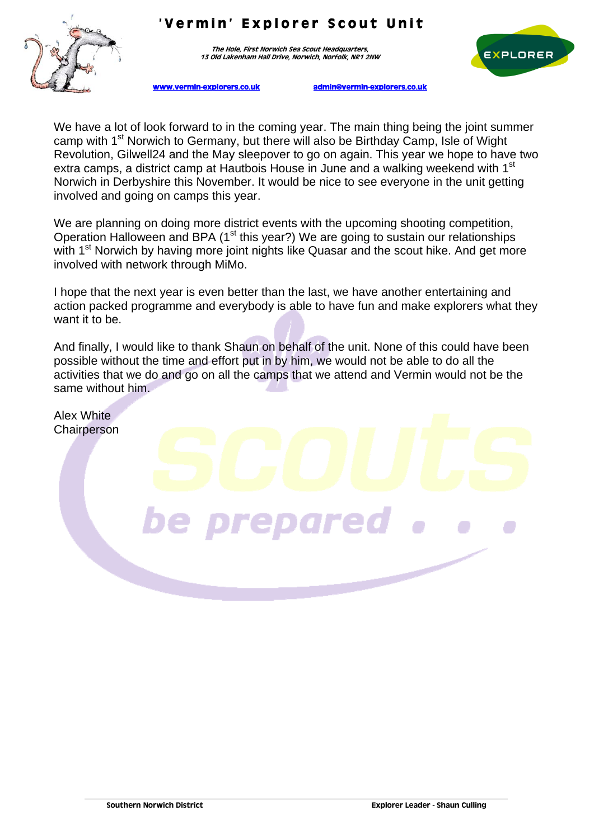

The Hole, First Norwich Sea Scout Headquarters 13 Old Lakenham Hall Drive, Norwich, Norfolk, NR1 2NW



www.vermin-explorers.co.uk admin@vermin-explorers.co.uk

We have a lot of look forward to in the coming year. The main thing being the joint summer camp with 1<sup>st</sup> Norwich to Germany, but there will also be Birthday Camp, Isle of Wight Revolution, Gilwell24 and the May sleepover to go on again. This year we hope to have two extra camps, a district camp at Hautbois House in June and a walking weekend with 1<sup>st</sup> Norwich in Derbyshire this November. It would be nice to see everyone in the unit getting involved and going on camps this year.

We are planning on doing more district events with the upcoming shooting competition, Operation Halloween and BPA (1<sup>st</sup> this year?) We are going to sustain our relationships with 1<sup>st</sup> Norwich by having more joint nights like Quasar and the scout hike. And get more involved with network through MiMo.

I hope that the next year is even better than the last, we have another entertaining and action packed programme and everybody is able to have fun and make explorers what they want it to be.

And finally, I would like to thank Shaun on behalf of the unit. None of this could have been possible without the time and effort put in by him, we would not be able to do all the activities that we do and go on all the camps that we attend and Vermin would not be the same without him.

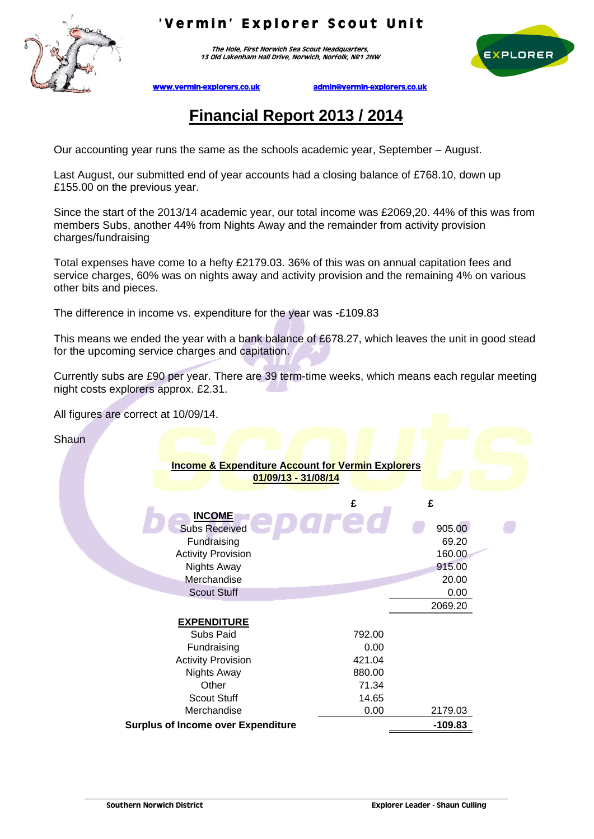

The Hole, First Norwich Sea Scout Headquarters, 13 Old Lakenham Hall Drive, Norwich, Norfolk, NR1 2NW



www.vermin-explorers.co.uk admin@vermin-explorers.co.uk

# **Financial Report 2013 / 2014**

Our accounting year runs the same as the schools academic year, September – August.

Last August, our submitted end of year accounts had a closing balance of £768.10, down up £155.00 on the previous year.

Since the start of the 2013/14 academic year, our total income was £2069,20. 44% of this was from members Subs, another 44% from Nights Away and the remainder from activity provision charges/fundraising

Total expenses have come to a hefty £2179.03. 36% of this was on annual capitation fees and service charges, 60% was on nights away and activity provision and the remaining 4% on various other bits and pieces.

The difference in income vs. expenditure for the year was -£109.83

This means we ended the year with a bank balance of £678.27, which leaves the unit in good stead for the upcoming service charges and capitation.

Currently subs are £90 per year. There are 39 term-time weeks, which means each regular meeting night costs explorers approx. £2.31.

All figures are correct at 10/09/14.

**Shaun** 

| <b>Income &amp; Expenditure Account for Vermin Explorers</b><br>01/09/13 - 31/08/14 |        |           |
|-------------------------------------------------------------------------------------|--------|-----------|
|                                                                                     | £      | £         |
| <b>INCOME</b>                                                                       |        |           |
| <b>Subs Received</b>                                                                |        | 905.00    |
| Fundraising                                                                         |        | 69.20     |
| <b>Activity Provision</b>                                                           |        | 160.00    |
| <b>Nights Away</b>                                                                  |        | 915.00    |
| Merchandise                                                                         |        | 20.00     |
| <b>Scout Stuff</b>                                                                  |        | 0.00      |
|                                                                                     |        | 2069.20   |
| <b>EXPENDITURE</b>                                                                  |        |           |
| Subs Paid                                                                           | 792.00 |           |
| Fundraising                                                                         | 0.00   |           |
| <b>Activity Provision</b>                                                           | 421.04 |           |
| <b>Nights Away</b>                                                                  | 880.00 |           |
| Other                                                                               | 71.34  |           |
| <b>Scout Stuff</b>                                                                  | 14.65  |           |
| Merchandise                                                                         | 0.00   | 2179.03   |
| <b>Surplus of Income over Expenditure</b>                                           |        | $-109.83$ |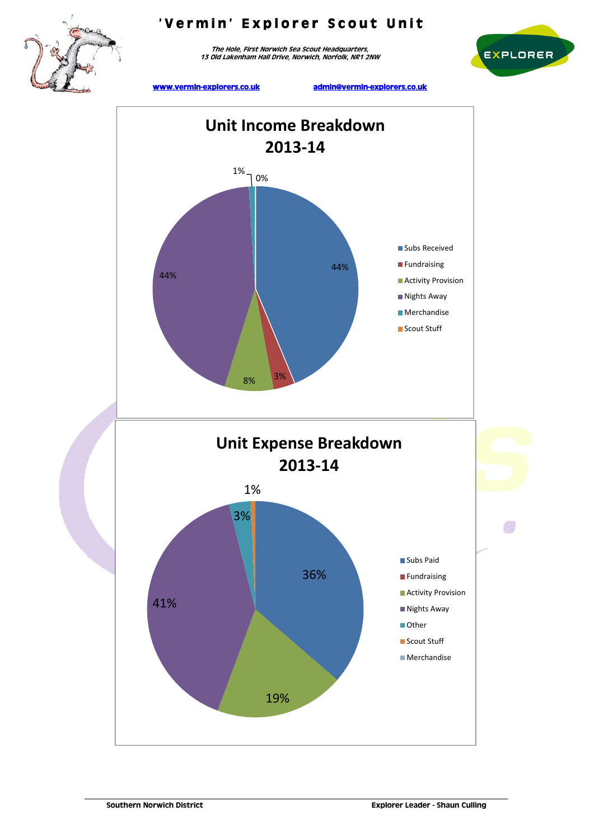

The Hole, First Norwich Sea Scout Headquarters, 13 Old Lakenham Hall Drive, Norwich, Norfolk, NR1 2NW



www.vermin-explorers.co.uk admin@vermin-explorers.co.uk